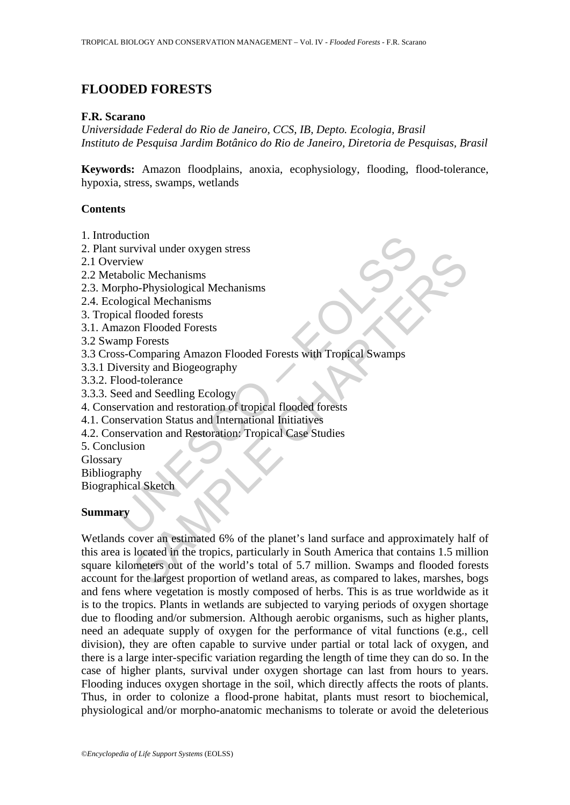# **FLOODED FORESTS**

#### **F.R. Scarano**

*Universidade Federal do Rio de Janeiro, CCS, IB, Depto. Ecologia, Brasil Instituto de Pesquisa Jardim Botânico do Rio de Janeiro, Diretoria de Pesquisas, Brasil* 

**Keywords:** Amazon floodplains, anoxia, ecophysiology, flooding, flood-tolerance, hypoxia, stress, swamps, wetlands

### **Contents**

- 1. Introduction
- 2. Plant survival under oxygen stress
- 2.1 Overview
- 2.2 Metabolic Mechanisms
- 2.3. Morpho-Physiological Mechanisms
- 2.4. Ecological Mechanisms
- 3. Tropical flooded forests
- 3.1. Amazon Flooded Forests
- 3.2 Swamp Forests
- duction<br>
survival under oxygen stress<br>
srview<br>
srview<br>
abolic Mechanisms<br>
ryiew<br>
abolic Mechanisms<br>
ryiew<br>
abolic Mechanisms<br>
logical Mechanisms<br>
logical Mechanisms<br>
implicated Forests<br>
sum Frorests<br>
suscriming Amazon Floo 3.3 Cross-Comparing Amazon Flooded Forests with Tropical Swamps
- 3.3.1 Diversity and Biogeography
- 3.3.2. Flood-tolerance
- 3.3.3. Seed and Seedling Ecology
- 4. Conservation and restoration of tropical flooded forests
- 4.1. Conservation Status and International Initiatives
- 4.2. Conservation and Restoration: Tropical Case Studies
- 5. Conclusion
- Glossary
- Bibliography
- Biographical Sketch

## **Summary**

For the Markov and Section Section<br>
We select Mechanisms<br>
Thooded forests<br>
Forests<br>
Forests<br>
Forests<br>
Forests<br>
Forests<br>
Forests<br>
Thooded Forests<br>
Forests<br>
Thooded Forests<br>
Section and Seedling Ecology<br>
d-tolerance<br>
and See Wetlands cover an estimated 6% of the planet's land surface and approximately half of this area is located in the tropics, particularly in South America that contains 1.5 million square kilometers out of the world's total of 5.7 million. Swamps and flooded forests account for the largest proportion of wetland areas, as compared to lakes, marshes, bogs and fens where vegetation is mostly composed of herbs. This is as true worldwide as it is to the tropics. Plants in wetlands are subjected to varying periods of oxygen shortage due to flooding and/or submersion. Although aerobic organisms, such as higher plants, need an adequate supply of oxygen for the performance of vital functions (e.g., cell division), they are often capable to survive under partial or total lack of oxygen, and there is a large inter-specific variation regarding the length of time they can do so. In the case of higher plants, survival under oxygen shortage can last from hours to years. Flooding induces oxygen shortage in the soil, which directly affects the roots of plants. Thus, in order to colonize a flood-prone habitat, plants must resort to biochemical, physiological and/or morpho-anatomic mechanisms to tolerate or avoid the deleterious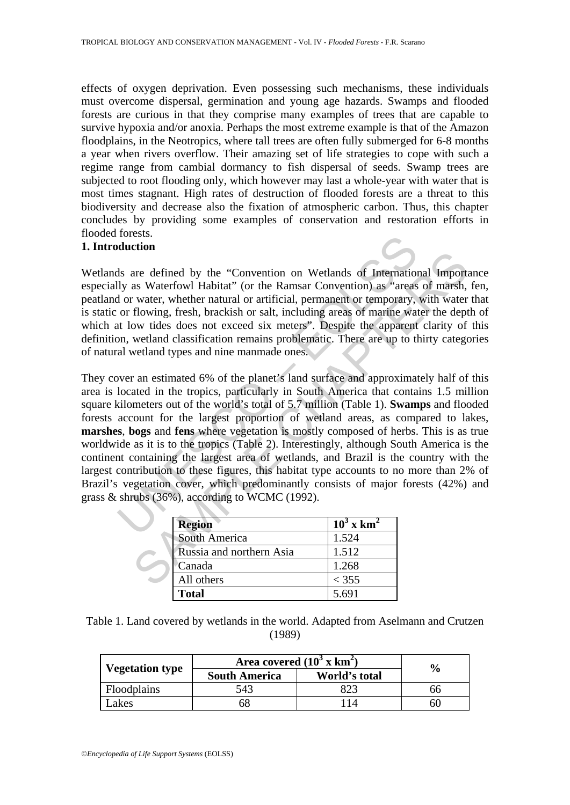effects of oxygen deprivation. Even possessing such mechanisms, these individuals must overcome dispersal, germination and young age hazards. Swamps and flooded forests are curious in that they comprise many examples of trees that are capable to survive hypoxia and/or anoxia. Perhaps the most extreme example is that of the Amazon floodplains, in the Neotropics, where tall trees are often fully submerged for 6-8 months a year when rivers overflow. Their amazing set of life strategies to cope with such a regime range from cambial dormancy to fish dispersal of seeds. Swamp trees are subjected to root flooding only, which however may last a whole-year with water that is most times stagnant. High rates of destruction of flooded forests are a threat to this biodiversity and decrease also the fixation of atmospheric carbon. Thus, this chapter concludes by providing some examples of conservation and restoration efforts in flooded forests.

### **1. Introduction**

Wetlands are defined by the "Convention on Wetlands of International Importance especially as Waterfowl Habitat" (or the Ramsar Convention) as "areas of marsh, fen, peatland or water, whether natural or artificial, permanent or temporary, with water that is static or flowing, fresh, brackish or salt, including areas of marine water the depth of which at low tides does not exceed six meters". Despite the apparent clarity of this definition, wetland classification remains problematic. There are up to thirty categories of natural wetland types and nine manmade ones.

for the state of the "Convention on Wetlands of Internation<br>duction<br>dy as Waterfowl Habitat" (or the Ramsar Convention) as "areas<br>of rowther, whether natural or artificial, permanent or temporary,<br>or flowing, fresh, brack Example the diffused by the "Convention on Wetlands of International Import<br>as Waterfowl Habitat" (or the Ramsar Convention) as "areas of marsh,<br>vater, whether natural or artificial, permanent or temporary, with water<br>flo They cover an estimated 6% of the planet's land surface and approximately half of this area is located in the tropics, particularly in South America that contains 1.5 million square kilometers out of the world's total of 5.7 million (Table 1). **Swamps** and flooded forests account for the largest proportion of wetland areas, as compared to lakes, **marshes**, **bogs** and **fens** where vegetation is mostly composed of herbs. This is as true worldwide as it is to the tropics (Table 2). Interestingly, although South America is the continent containing the largest area of wetlands, and Brazil is the country with the largest contribution to these figures, this habitat type accounts to no more than 2% of Brazil's vegetation cover, which predominantly consists of major forests (42%) and grass & shrubs (36%), according to WCMC (1992).

| <b>Region</b>            | $10^3$ x km <sup>2</sup> |
|--------------------------|--------------------------|
| <b>South America</b>     | 1.524                    |
| Russia and northern Asia | 1.512                    |
| Canada                   | 1.268                    |
| All others               | < 355                    |
| <b>Total</b>             | 5.691                    |

| Table 1. Land covered by wetlands in the world. Adapted from Aselmann and Crutzen |  |
|-----------------------------------------------------------------------------------|--|
| (1989)                                                                            |  |

| <b>Vegetation type</b> | Area covered $(10^3 \text{ x km}^2)$ | $\frac{6}{6}$ |     |
|------------------------|--------------------------------------|---------------|-----|
|                        | <b>South America</b>                 | World's total |     |
| Floodplains            | 543                                  |               | hh  |
| akes                   |                                      |               | bU. |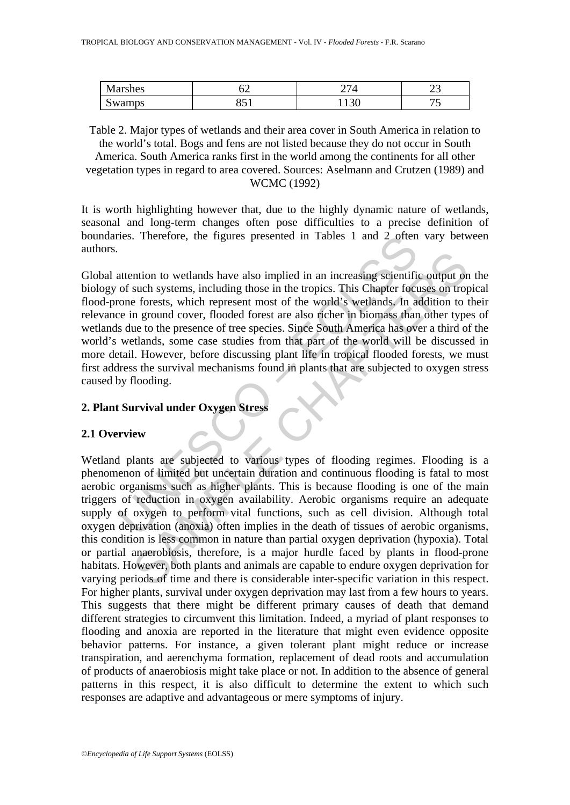| $\mathbf{M}$   | ◡▱            | `            | $\sim$ |
|----------------|---------------|--------------|--------|
| <b>Marshes</b> |               | $\mathbf{I}$ | ت      |
| $\sim$         | $\sim$ $\sim$ | $\Omega$     | --     |
| Swamps         | 0J 1          | 11 J U       | ັ      |

Table 2. Major types of wetlands and their area cover in South America in relation to the world's total. Bogs and fens are not listed because they do not occur in South America. South America ranks first in the world among the continents for all other vegetation types in regard to area covered. Sources: Aselmann and Crutzen (1989) and WCMC (1992)

It is worth highlighting however that, due to the highly dynamic nature of wetlands, seasonal and long-term changes often pose difficulties to a precise definition of boundaries. Therefore, the figures presented in Tables 1 and 2 often vary between authors.

ress. Therefore, the figures presented in Tables 1 and 2 often<br>attention to wetlands have also implied in an increasing scientific<br>of such systems, including those in the tropics. This Chapter foct<br>corone forests, which re Global attention to wetlands have also implied in an increasing scientific output on the biology of such systems, including those in the tropics. This Chapter focuses on tropical flood-prone forests, which represent most of the world's wetlands. In addition to their relevance in ground cover, flooded forest are also richer in biomass than other types of wetlands due to the presence of tree species. Since South America has over a third of the world's wetlands, some case studies from that part of the world will be discussed in more detail. However, before discussing plant life in tropical flooded forests, we must first address the survival mechanisms found in plants that are subjected to oxygen stress caused by flooding.

### **2. Plant Survival under Oxygen Stress**

### **2.1 Overview**

ntion to wetlands have also implied in an increasing scientific output on<br>such systems, including those in the tropics. This Chapter focuses on trop<br>e forests, which represent most of the world's wetlands, In addition to<br>n Wetland plants are subjected to various types of flooding regimes. Flooding is a phenomenon of limited but uncertain duration and continuous flooding is fatal to most aerobic organisms such as higher plants. This is because flooding is one of the main triggers of reduction in oxygen availability. Aerobic organisms require an adequate supply of oxygen to perform vital functions, such as cell division. Although total oxygen deprivation (anoxia) often implies in the death of tissues of aerobic organisms, this condition is less common in nature than partial oxygen deprivation (hypoxia). Total or partial anaerobiosis, therefore, is a major hurdle faced by plants in flood-prone habitats. However, both plants and animals are capable to endure oxygen deprivation for varying periods of time and there is considerable inter-specific variation in this respect. For higher plants, survival under oxygen deprivation may last from a few hours to years. This suggests that there might be different primary causes of death that demand different strategies to circumvent this limitation. Indeed, a myriad of plant responses to flooding and anoxia are reported in the literature that might even evidence opposite behavior patterns. For instance, a given tolerant plant might reduce or increase transpiration, and aerenchyma formation, replacement of dead roots and accumulation of products of anaerobiosis might take place or not. In addition to the absence of general patterns in this respect, it is also difficult to determine the extent to which such responses are adaptive and advantageous or mere symptoms of injury.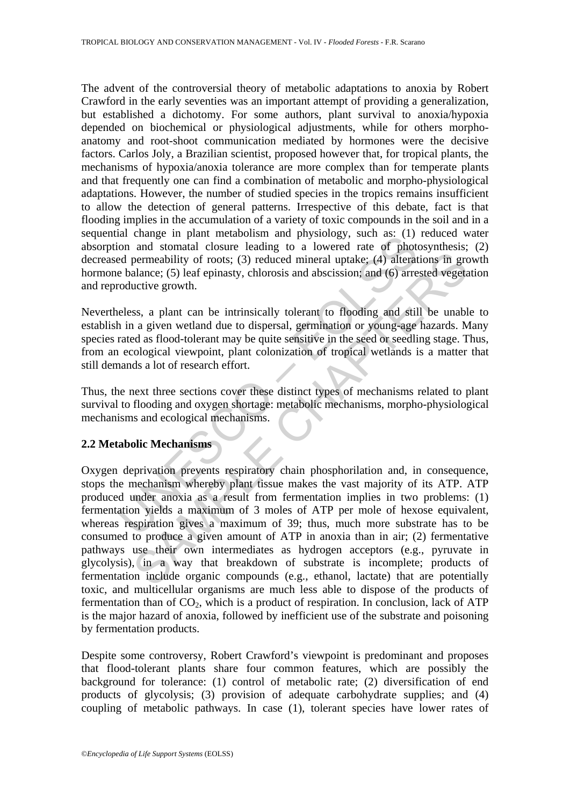The advent of the controversial theory of metabolic adaptations to anoxia by Robert Crawford in the early seventies was an important attempt of providing a generalization, but established a dichotomy. For some authors, plant survival to anoxia/hypoxia depended on biochemical or physiological adjustments, while for others morphoanatomy and root-shoot communication mediated by hormones were the decisive factors. Carlos Joly, a Brazilian scientist, proposed however that, for tropical plants, the mechanisms of hypoxia/anoxia tolerance are more complex than for temperate plants and that frequently one can find a combination of metabolic and morpho-physiological adaptations. However, the number of studied species in the tropics remains insufficient to allow the detection of general patterns. Irrespective of this debate, fact is that flooding implies in the accumulation of a variety of toxic compounds in the soil and in a sequential change in plant metabolism and physiology, such as: (1) reduced water absorption and stomatal closure leading to a lowered rate of photosynthesis; (2) decreased permeability of roots; (3) reduced mineral uptake; (4) alterations in growth hormone balance; (5) leaf epinasty, chlorosis and abscission; and (6) arrested vegetation and reproductive growth.

Nevertheless, a plant can be intrinsically tolerant to flooding and still be unable to establish in a given wetland due to dispersal, germination or young-age hazards. Many species rated as flood-tolerant may be quite sensitive in the seed or seedling stage. Thus, from an ecological viewpoint, plant colonization of tropical wetlands is a matter that still demands a lot of research effort.

Thus, the next three sections cover these distinct types of mechanisms related to plant survival to flooding and oxygen shortage: metabolic mechanisms, morpho-physiological mechanisms and ecological mechanisms.

### **2.2 Metabolic Mechanisms**

and change in param inetalonsism and physiology, such as (1)<br>too and stomatal closure leading to a lowered rate of photod permeability of roots; (3) reduced mineral uptake; (4) alterate balance; (5) leaf epinasty, chlorosi permeability of roots; (3) reduced mineral uptake; (4) alterations in gradance; (5) leaf epinasty, chlorosis and abscission; and (6) arrested vegeta<br>alance; (5) leaf epinasty, chlorosis and abscission; and (6) arrested veg Oxygen deprivation prevents respiratory chain phosphorilation and, in consequence, stops the mechanism whereby plant tissue makes the vast majority of its ATP. ATP produced under anoxia as a result from fermentation implies in two problems: (1) fermentation yields a maximum of 3 moles of ATP per mole of hexose equivalent, whereas respiration gives a maximum of 39; thus, much more substrate has to be consumed to produce a given amount of ATP in anoxia than in air; (2) fermentative pathways use their own intermediates as hydrogen acceptors (e.g., pyruvate in glycolysis), in a way that breakdown of substrate is incomplete; products of fermentation include organic compounds (e.g., ethanol, lactate) that are potentially toxic, and multicellular organisms are much less able to dispose of the products of fermentation than of  $CO<sub>2</sub>$ , which is a product of respiration. In conclusion, lack of ATP is the major hazard of anoxia, followed by inefficient use of the substrate and poisoning by fermentation products.

Despite some controversy, Robert Crawford's viewpoint is predominant and proposes that flood-tolerant plants share four common features, which are possibly the background for tolerance: (1) control of metabolic rate; (2) diversification of end products of glycolysis; (3) provision of adequate carbohydrate supplies; and (4) coupling of metabolic pathways. In case (1), tolerant species have lower rates of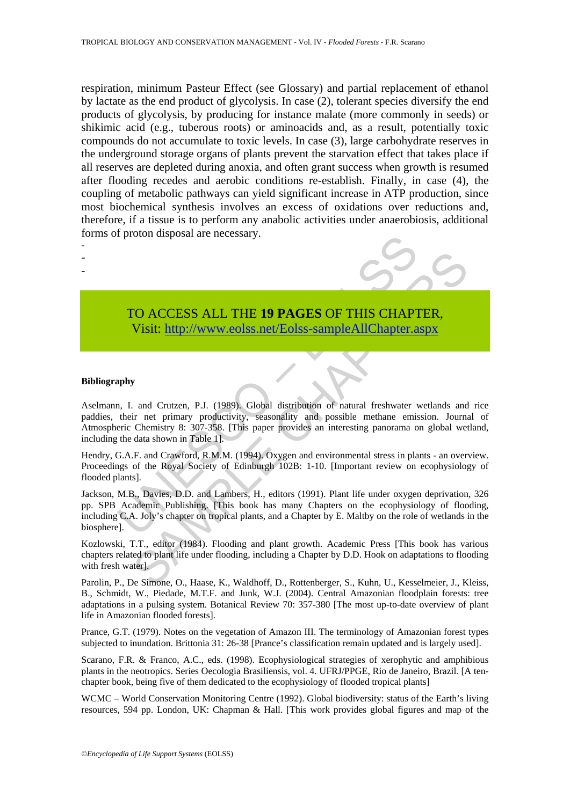respiration, minimum Pasteur Effect (see Glossary) and partial replacement of ethanol by lactate as the end product of glycolysis. In case (2), tolerant species diversify the end products of glycolysis, by producing for instance malate (more commonly in seeds) or shikimic acid (e.g., tuberous roots) or aminoacids and, as a result, potentially toxic compounds do not accumulate to toxic levels. In case (3), large carbohydrate reserves in the underground storage organs of plants prevent the starvation effect that takes place if all reserves are depleted during anoxia, and often grant success when growth is resumed after flooding recedes and aerobic conditions re-establish. Finally, in case (4), the coupling of metabolic pathways can yield significant increase in ATP production, since most biochemical synthesis involves an excess of oxidations over reductions and, therefore, if a tissue is to perform any anabolic activities under anaerobiosis, additional forms of proton disposal are necessary.

- -

-



## TO ACCESS ALL THE **19 PAGES** OF THIS CHAPTER, Visit: http://www.eolss.net/Eolss-sampleAllChapter.aspx

#### **Bibliography**

TO ACCESS ALL THE 19 PAGES OF THIS CHAPT<br>
Visit: http://www.eolss.net/Eolss-sampleAllChapter.a<br>
apply<br>
and Crutzen, P.J. (1989). Global distribution of natural freshwater<br>
their net primary productivity, seasonality and po CO ACCESS ALL THE 19 PAGES OF THIS CHA[PTE](https://www.eolss.net/ebooklib/sc_cart.aspx?File=E6-142-TB-02)R,<br>
Visit: http://www.eolss.net/Eolss-sampleAllChapter.aspx<br>
The Unit of the Chapter of the U.S. (1989). Global distribution of natural freshwater wetlands and<br>
ir net primary produ Aselmann, I. and Crutzen, P.J. (1989). Global distribution of natural freshwater wetlands and rice paddies, their net primary productivity, seasonality and possible methane emission. Journal of Atmospheric Chemistry 8: 307-358. [This paper provides an interesting panorama on global wetland, including the data shown in Table 1].

Hendry, G.A.F. and Crawford, R.M.M. (1994). Oxygen and environmental stress in plants - an overview. Proceedings of the Royal Society of Edinburgh 102B: 1-10. [Important review on ecophysiology of flooded plants].

Jackson, M.B., Davies, D.D. and Lambers, H., editors (1991). Plant life under oxygen deprivation, 326 pp. SPB Academic Publishing. [This book has many Chapters on the ecophysiology of flooding, including C.A. Joly's chapter on tropical plants, and a Chapter by E. Maltby on the role of wetlands in the biosphere].

Kozlowski, T.T., editor (1984). Flooding and plant growth. Academic Press [This book has various chapters related to plant life under flooding, including a Chapter by D.D. Hook on adaptations to flooding with fresh water].

Parolin, P., De Simone, O., Haase, K., Waldhoff, D., Rottenberger, S., Kuhn, U., Kesselmeier, J., Kleiss, B., Schmidt, W., Piedade, M.T.F. and Junk, W.J. (2004). Central Amazonian floodplain forests: tree adaptations in a pulsing system. Botanical Review 70: 357-380 [The most up-to-date overview of plant life in Amazonian flooded forests].

Prance, G.T. (1979). Notes on the vegetation of Amazon III. The terminology of Amazonian forest types subjected to inundation. Brittonia 31: 26-38 [Prance's classification remain updated and is largely used].

Scarano, F.R. & Franco, A.C., eds. (1998). Ecophysiological strategies of xerophytic and amphibious plants in the neotropics. Series Oecologia Brasiliensis, vol. 4. UFRJ/PPGE, Rio de Janeiro, Brazil. [A tenchapter book, being five of them dedicated to the ecophysiology of flooded tropical plants]

WCMC – World Conservation Monitoring Centre (1992). Global biodiversity: status of the Earth's living resources, 594 pp. London, UK: Chapman & Hall. [This work provides global figures and map of the